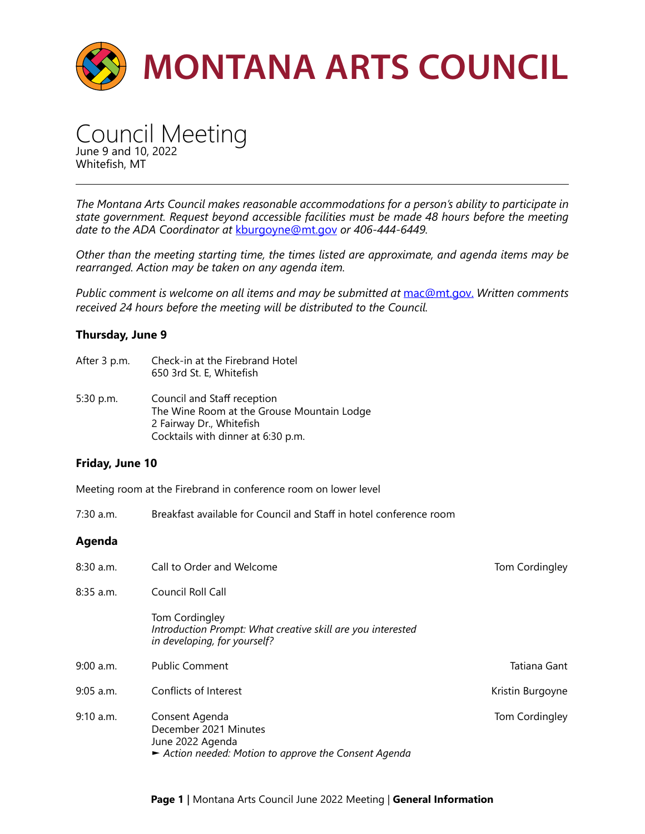

Council Meeting June 9 and 10, 2022 Whitefish, MT

*The Montana Arts Council makes reasonable accommodations for a person's ability to participate in state government. Request beyond accessible facilities must be made 48 hours before the meeting date to the ADA Coordinator at* [kburgoyne@mt.gov](mailto:kburgoyne%40mt.gov?subject=) *or 406-444-6449.* 

*Other than the meeting starting time, the times listed are approximate, and agenda items may be rearranged. Action may be taken on any agenda item.* 

*Public comment is welcome on all items and may be submitted at* [mac@mt.gov.](mailto:mac%40mt.gov?subject=) *Written comments received 24 hours before the meeting will be distributed to the Council.* 

## **Thursday, June 9**

- After 3 p.m. Check-in at the Firebrand Hotel 650 3rd St. E, Whitefish
- 5:30 p.m. Council and Staff reception The Wine Room at the Grouse Mountain Lodge 2 Fairway Dr., Whitefish Cocktails with dinner at 6:30 p.m.

## **Friday, June 10**

Meeting room at the Firebrand in conference room on lower level

7:30 a.m. Breakfast available for Council and Staff in hotel conference room

## **Agenda**

| $8:30$ a.m. | Call to Order and Welcome                                                                                          | Tom Cordingley   |
|-------------|--------------------------------------------------------------------------------------------------------------------|------------------|
| $8:35$ a.m. | Council Roll Call                                                                                                  |                  |
|             | Tom Cordingley<br>Introduction Prompt: What creative skill are you interested<br>in developing, for yourself?      |                  |
| $9:00$ a.m. | <b>Public Comment</b>                                                                                              | Tatiana Gant     |
| $9:05$ a.m. | Conflicts of Interest                                                                                              | Kristin Burgoyne |
| 9:10 a.m.   | Consent Agenda<br>December 2021 Minutes<br>June 2022 Agenda<br>Action needed: Motion to approve the Consent Agenda | Tom Cordingley   |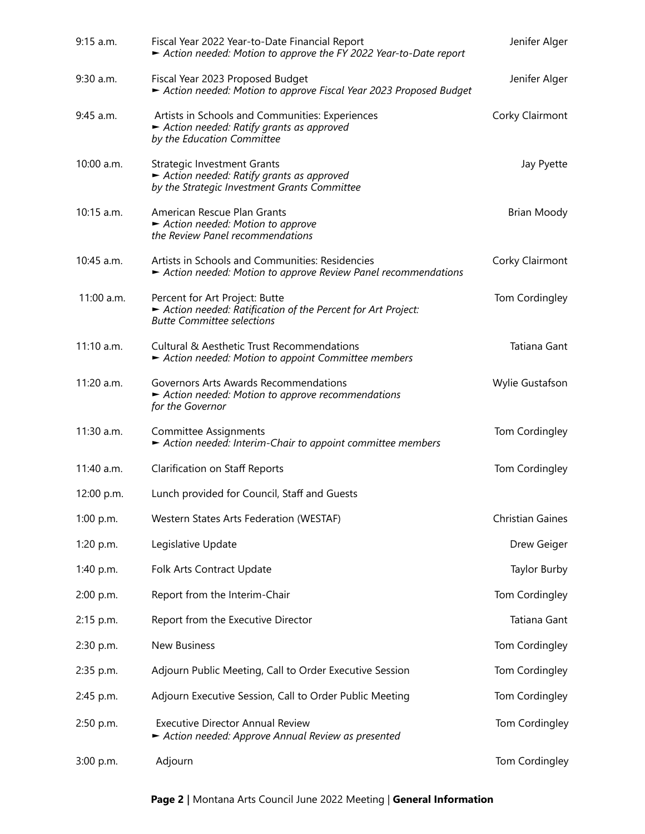| $9:15$ a.m.  | Fiscal Year 2022 Year-to-Date Financial Report<br>Action needed: Motion to approve the FY 2022 Year-to-Date report                 | Jenifer Alger           |
|--------------|------------------------------------------------------------------------------------------------------------------------------------|-------------------------|
| 9:30 a.m.    | Fiscal Year 2023 Proposed Budget<br>Action needed: Motion to approve Fiscal Year 2023 Proposed Budget                              | Jenifer Alger           |
| 9:45 a.m.    | Artists in Schools and Communities: Experiences<br>Action needed: Ratify grants as approved<br>by the Education Committee          | Corky Clairmont         |
| 10:00 a.m.   | <b>Strategic Investment Grants</b><br>Action needed: Ratify grants as approved<br>by the Strategic Investment Grants Committee     | Jay Pyette              |
| $10:15$ a.m. | American Rescue Plan Grants<br>Action needed: Motion to approve<br>the Review Panel recommendations                                | Brian Moody             |
| 10:45 a.m.   | Artists in Schools and Communities: Residencies<br>Action needed: Motion to approve Review Panel recommendations                   | Corky Clairmont         |
| 11:00 a.m.   | Percent for Art Project: Butte<br>Action needed: Ratification of the Percent for Art Project:<br><b>Butte Committee selections</b> | Tom Cordingley          |
| 11:10 a.m.   | <b>Cultural &amp; Aesthetic Trust Recommendations</b><br>Action needed: Motion to appoint Committee members                        | Tatiana Gant            |
| 11:20 a.m.   | Governors Arts Awards Recommendations<br>Action needed: Motion to approve recommendations<br>for the Governor                      | Wylie Gustafson         |
| 11:30 a.m.   | <b>Committee Assignments</b><br>Action needed: Interim-Chair to appoint committee members                                          | Tom Cordingley          |
| 11:40 a.m.   | <b>Clarification on Staff Reports</b>                                                                                              | Tom Cordingley          |
| 12:00 p.m.   | Lunch provided for Council, Staff and Guests                                                                                       |                         |
| 1:00 p.m.    | Western States Arts Federation (WESTAF)                                                                                            | <b>Christian Gaines</b> |
| 1:20 p.m.    | Legislative Update                                                                                                                 | Drew Geiger             |
| 1:40 p.m.    | Folk Arts Contract Update                                                                                                          | Taylor Burby            |
| 2:00 p.m.    | Report from the Interim-Chair                                                                                                      | Tom Cordingley          |
| 2:15 p.m.    | Report from the Executive Director                                                                                                 | Tatiana Gant            |
| 2:30 p.m.    | New Business                                                                                                                       | Tom Cordingley          |
| 2:35 p.m.    | Adjourn Public Meeting, Call to Order Executive Session                                                                            | Tom Cordingley          |
| 2:45 p.m.    | Adjourn Executive Session, Call to Order Public Meeting                                                                            | Tom Cordingley          |
| 2:50 p.m.    | <b>Executive Director Annual Review</b><br>Action needed: Approve Annual Review as presented                                       | Tom Cordingley          |
| 3:00 p.m.    | Adjourn                                                                                                                            | Tom Cordingley          |

**Page 2 |** Montana Arts Council June 2022 Meeting | **General Information**